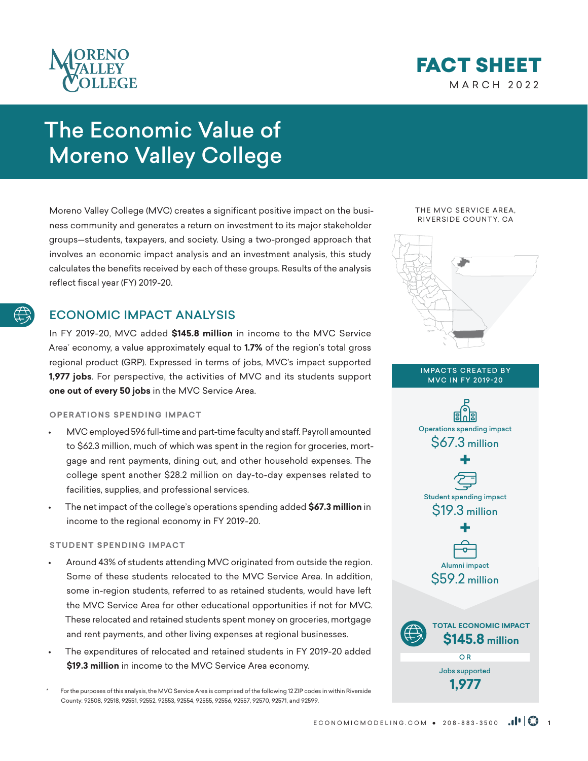



# The Economic Value of Moreno Valley College

Moreno Valley College (MVC) creates a significant positive impact on the business community and generates a return on investment to its major stakeholder groups—students, taxpayers, and society. Using a two-pronged approach that involves an economic impact analysis and an investment analysis, this study calculates the benefits received by each of these groups. Results of the analysis reflect fiscal year (FY) 2019-20.

# ECONOMIC IMPACT ANALYSIS

In FY 2019-20, MVC added **\$145.8 million** in income to the MVC Service Area\* economy, a value approximately equal to **1.7%** of the region's total gross regional product (GRP). Expressed in terms of jobs, MVC's impact supported **1,977 jobs**. For perspective, the activities of MVC and its students support **one out of every 50 jobs** in the MVC Service Area.

# **OPERATIONS SPENDING IMPACT**

- MVC employed 596 full-time and part-time faculty and staff. Payroll amounted to \$62.3 million, much of which was spent in the region for groceries, mortgage and rent payments, dining out, and other household expenses. The college spent another \$28.2 million on day-to-day expenses related to facilities, supplies, and professional services.
- The net impact of the college's operations spending added **\$67.3 million** in income to the regional economy in FY 2019-20.

# **STUDENT SPENDING IMPACT**

- Around 43% of students attending MVC originated from outside the region. Some of these students relocated to the MVC Service Area. In addition, some in-region students, referred to as retained students, would have left the MVC Service Area for other educational opportunities if not for MVC. These relocated and retained students spent money on groceries, mortgage and rent payments, and other living expenses at regional businesses.
- The expenditures of relocated and retained students in FY 2019-20 added **\$19.3 million** in income to the MVC Service Area economy.

For the purposes of this analysis, the MVC Service Area is comprised of the following 12 ZIP codes in within Riverside County: 92508, 92518, 92551, 92552, 92553, 92554, 92555, 92556, 92557, 92570, 92571, and 92599.

THE MVC SERVICE AREA, RIVERSIDE COUNTY, CA



#### IMPACTS CREATED BY MVC IN FY 2019-20